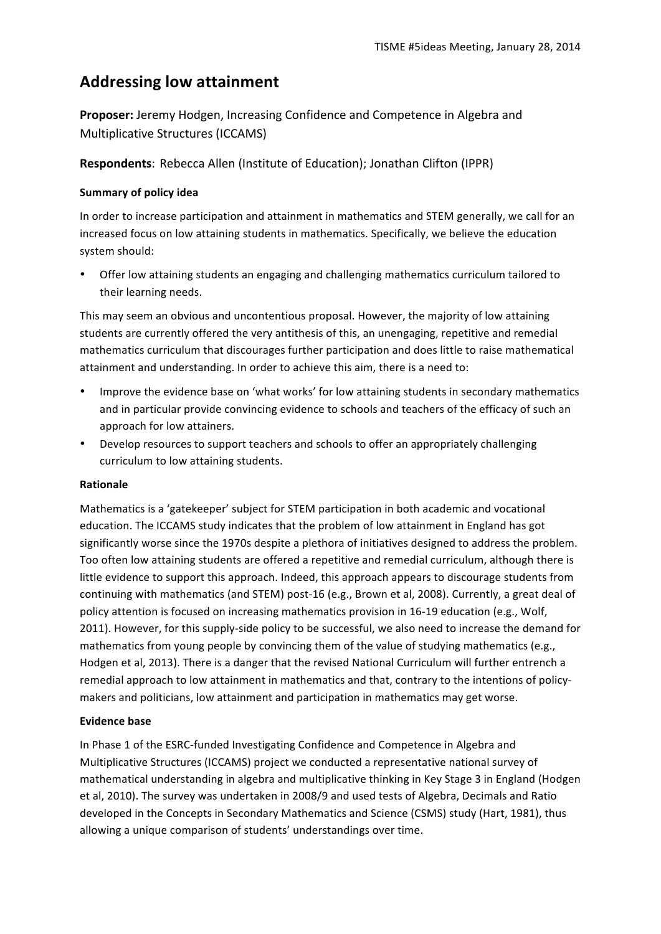# **Addressing low attainment**

**Proposer:** Jeremy Hodgen, Increasing Confidence and Competence in Algebra and Multiplicative Structures (ICCAMS)

**Respondents:** Rebecca Allen (Institute of Education); Jonathan Clifton (IPPR)

## **Summary of policy idea**

In order to increase participation and attainment in mathematics and STEM generally, we call for an increased focus on low attaining students in mathematics. Specifically, we believe the education system should:

Offer low attaining students an engaging and challenging mathematics curriculum tailored to their learning needs.

This may seem an obvious and uncontentious proposal. However, the majority of low attaining students are currently offered the very antithesis of this, an unengaging, repetitive and remedial mathematics curriculum that discourages further participation and does little to raise mathematical attainment and understanding. In order to achieve this aim, there is a need to:

- Improve the evidence base on 'what works' for low attaining students in secondary mathematics and in particular provide convincing evidence to schools and teachers of the efficacy of such an approach for low attainers.
- Develop resources to support teachers and schools to offer an appropriately challenging curriculum to low attaining students.

## **Rationale**

Mathematics is a 'gatekeeper' subject for STEM participation in both academic and vocational education. The ICCAMS study indicates that the problem of low attainment in England has got significantly worse since the 1970s despite a plethora of initiatives designed to address the problem. Too often low attaining students are offered a repetitive and remedial curriculum, although there is little evidence to support this approach. Indeed, this approach appears to discourage students from continuing with mathematics (and STEM) post-16 (e.g., Brown et al, 2008). Currently, a great deal of policy attention is focused on increasing mathematics provision in 16-19 education (e.g., Wolf, 2011). However, for this supply-side policy to be successful, we also need to increase the demand for mathematics from young people by convincing them of the value of studying mathematics (e.g., Hodgen et al, 2013). There is a danger that the revised National Curriculum will further entrench a remedial approach to low attainment in mathematics and that, contrary to the intentions of policymakers and politicians, low attainment and participation in mathematics may get worse.

## **Evidence base**

In Phase 1 of the ESRC-funded Investigating Confidence and Competence in Algebra and Multiplicative Structures (ICCAMS) project we conducted a representative national survey of mathematical understanding in algebra and multiplicative thinking in Key Stage 3 in England (Hodgen et al, 2010). The survey was undertaken in 2008/9 and used tests of Algebra, Decimals and Ratio developed in the Concepts in Secondary Mathematics and Science (CSMS) study (Hart, 1981), thus allowing a unique comparison of students' understandings over time.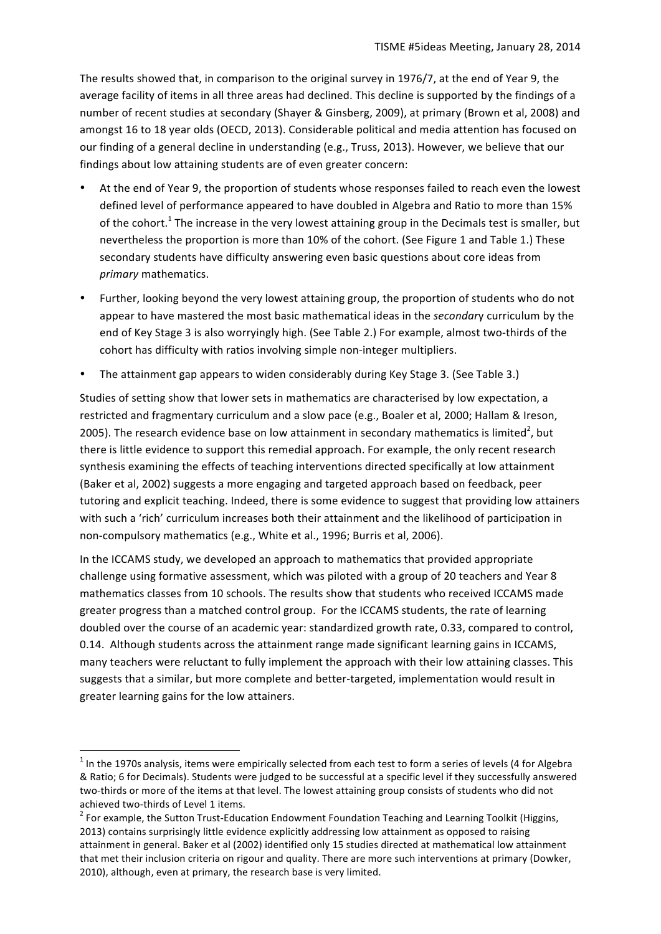The results showed that, in comparison to the original survey in 1976/7, at the end of Year 9, the average facility of items in all three areas had declined. This decline is supported by the findings of a number of recent studies at secondary (Shayer & Ginsberg, 2009), at primary (Brown et al, 2008) and amongst 16 to 18 year olds (OECD, 2013). Considerable political and media attention has focused on our finding of a general decline in understanding (e.g., Truss, 2013). However, we believe that our findings about low attaining students are of even greater concern:

- At the end of Year 9, the proportion of students whose responses failed to reach even the lowest defined level of performance appeared to have doubled in Algebra and Ratio to more than 15% of the cohort.<sup>1</sup> The increase in the very lowest attaining group in the Decimals test is smaller, but nevertheless the proportion is more than 10% of the cohort. (See Figure 1 and Table 1.) These secondary students have difficulty answering even basic questions about core ideas from *primary* mathematics.
- Further, looking beyond the very lowest attaining group, the proportion of students who do not appear to have mastered the most basic mathematical ideas in the *secondary* curriculum by the end of Key Stage 3 is also worryingly high. (See Table 2.) For example, almost two-thirds of the cohort has difficulty with ratios involving simple non-integer multipliers.
- The attainment gap appears to widen considerably during Key Stage 3. (See Table 3.)

Studies of setting show that lower sets in mathematics are characterised by low expectation, a restricted and fragmentary curriculum and a slow pace (e.g., Boaler et al, 2000; Hallam & Ireson, 2005). The research evidence base on low attainment in secondary mathematics is limited<sup>2</sup>, but there is little evidence to support this remedial approach. For example, the only recent research synthesis examining the effects of teaching interventions directed specifically at low attainment (Baker et al, 2002) suggests a more engaging and targeted approach based on feedback, peer tutoring and explicit teaching. Indeed, there is some evidence to suggest that providing low attainers with such a 'rich' curriculum increases both their attainment and the likelihood of participation in non-compulsory mathematics (e.g., White et al., 1996; Burris et al, 2006).

In the ICCAMS study, we developed an approach to mathematics that provided appropriate challenge using formative assessment, which was piloted with a group of 20 teachers and Year 8 mathematics classes from 10 schools. The results show that students who received ICCAMS made greater progress than a matched control group. For the ICCAMS students, the rate of learning doubled over the course of an academic year: standardized growth rate, 0.33, compared to control, 0.14. Although students across the attainment range made significant learning gains in ICCAMS, many teachers were reluctant to fully implement the approach with their low attaining classes. This suggests that a similar, but more complete and better-targeted, implementation would result in greater learning gains for the low attainers.

<u> 1989 - Jan Samuel Barbara, margaret e</u>

 $1$  In the 1970s analysis, items were empirically selected from each test to form a series of levels (4 for Algebra & Ratio; 6 for Decimals). Students were judged to be successful at a specific level if they successfully answered two-thirds or more of the items at that level. The lowest attaining group consists of students who did not achieved two-thirds of Level 1 items.<br><sup>2</sup> For example, the Sutton Trust-Education Endowment Foundation Teaching and Learning Toolkit (Higgins,

<sup>2013)</sup> contains surprisingly little evidence explicitly addressing low attainment as opposed to raising attainment in general. Baker et al (2002) identified only 15 studies directed at mathematical low attainment that met their inclusion criteria on rigour and quality. There are more such interventions at primary (Dowker, 2010), although, even at primary, the research base is very limited.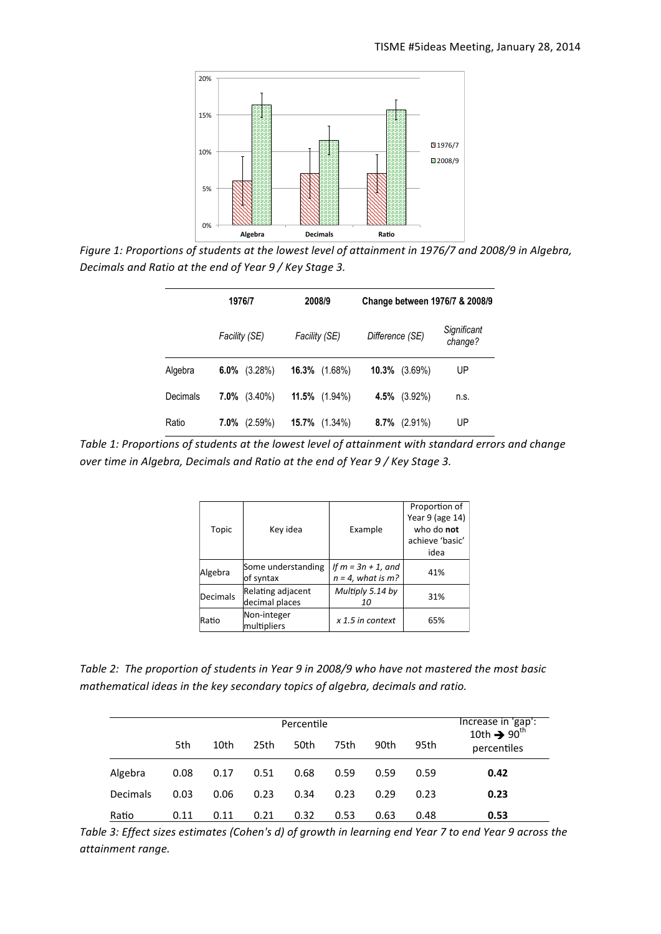

Figure 1: Proportions of students at the lowest level of attainment in 1976/7 and 2008/9 in Algebra, Decimals and Ratio at the end of Year 9 / Key Stage 3.

|          | 1976/7                | 2008/9                  | Change between 1976/7 & 2008/9 |                        |  |
|----------|-----------------------|-------------------------|--------------------------------|------------------------|--|
|          | Facility (SE)         | Facility (SE)           | Difference (SE)                | Significant<br>change? |  |
| Algebra  | $6.0\%$<br>(3.28%)    | 16.3%<br>$(1.68\%)$     | 10.3%<br>$(3.69\%)$            | UP                     |  |
| Decimals | 7.0%<br>$(3.40\%)$    | <b>11.5%</b> $(1.94\%)$ | 4.5%<br>$(3.92\%)$             | n.s.                   |  |
| Ratio    | $7.0\%$<br>$(2.59\%)$ | 15.7%<br>$(1.34\%)$     | 8.7%<br>$(2.91\%)$             | UP                     |  |

Table 1: Proportions of students at the lowest level of attainment with standard errors and change over time in Algebra, Decimals and Ratio at the end of Year 9 / Key Stage 3.

| Topic    | Key idea                            | Example                                       | Proportion of<br>Year 9 (age 14)<br>who do not<br>achieve 'basic' |
|----------|-------------------------------------|-----------------------------------------------|-------------------------------------------------------------------|
|          |                                     |                                               | idea                                                              |
| Algebra  | Some understanding<br>of syntax     | If $m = 3n + 1$ , and<br>$n = 4$ , what is m? | 41%                                                               |
| Decimals | Relating adjacent<br>decimal places | Multiply 5.14 by<br>10                        | 31%                                                               |
| Ratio    | Non-integer<br>multipliers          | $x$ 1.5 in context                            | 65%                                                               |

Table 2: The proportion of students in Year 9 in 2008/9 who have not mastered the most basic mathematical ideas in the key secondary topics of algebra, decimals and ratio.

|          |      | Percentile |      |      |      |      | Increase in 'gap':<br>10th $\rightarrow$ 90 <sup>th</sup> |             |
|----------|------|------------|------|------|------|------|-----------------------------------------------------------|-------------|
|          | 5th  | 10th       | 25th | 50th | 75th | 90th | 95th                                                      | percentiles |
| Algebra  | 0.08 | 0.17       | 0.51 | 0.68 | 0.59 | 0.59 | 0.59                                                      | 0.42        |
| Decimals | 0.03 | 0.06       | 0.23 | 0.34 | 0.23 | 0.29 | 0.23                                                      | 0.23        |
| Ratio    | 0.11 | 0.11       | 0.21 | 0.32 | 0.53 | 0.63 | 0.48                                                      | 0.53        |

Table 3: Effect sizes estimates (Cohen's d) of growth in learning end Year 7 to end Year 9 across the attainment range.